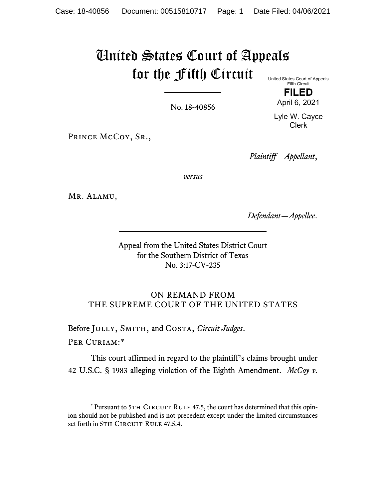## United States Court of Appeals for the Fifth Circuit United States Court of Appeals

No. 18-40856

**FILED** April 6, 2021

Fifth Circuit

Lyle W. Cayce Clerk

PRINCE McCoy, SR.,

*Plaintiff—Appellant*,

*versus*

Mr. Alamu,

*Defendant—Appellee*.

Appeal from the United States District Court for the Southern District of Texas No. 3:17-CV-235

ON REMAND FROM THE SUPREME COURT OF THE UNITED STATES

Before Jolly, Smith, and Costa, *Circuit Judges*.

PER CURIAM:[\\*](#page-0-0)

This court affirmed in regard to the plaintiff's claims brought under 42 U.S.C. § 1983 alleging violation of the Eighth Amendment. *McCoy v.* 

<span id="page-0-0"></span><sup>\*</sup> Pursuant to 5TH CIRCUIT RULE 47.5, the court has determined that this opinion should not be published and is not precedent except under the limited circumstances set forth in 5TH CIRCUIT RULE 47.5.4.